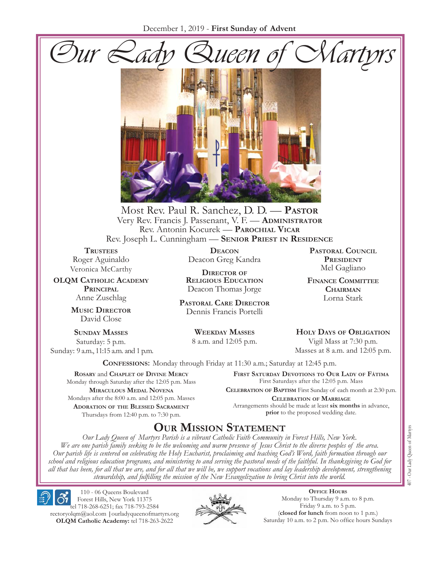



Most Rev. Paul R. Sanchez, D. D. — **Pastor** Very Rev. Francis J. Passenant, V. F. — **Administrator** Rev. Antonin Kocurek — **Parochial Vicar** Rev. Joseph L. Cunningham — **Senior Priest in Residence**

**TRUSTEES** Roger Aguinaldo Veronica McCarthy

**OLQM Catholic Academy Principal** Anne Zuschlag

> **Music Director** David Close

**Sunday Masses** Saturday: 5 p.m. Sunday: 9 a.m., 11:15 a.m. and 1 p.m.

**Deacon** Deacon Greg Kandra

**Director of Religious Education** Deacon Thomas Jorge

**Pastoral Care Director** Dennis Francis Portelli

> **Weekday Masses** 8 a.m. and 12:05 p.m.

**Pastoral Council President** Mel Gagliano

**Finance Committee Chairman** Lorna Stark

**Holy Days of Obligation** Vigil Mass at 7:30 p.m.

Masses at 8 a.m. and 12:05 p.m.

**Confessions:** Monday through Friday at 11:30 a.m.; Saturday at 12:45 p.m.

**Rosary** and **Chaplet of Divine Mercy** Monday through Saturday after the 12:05 p.m. Mass **Miraculous Medal Novena** Mondays after the 8:00 a.m. and 12:05 p.m. Masses **Adoration of the Blessed Sacrament** Thursdays from 12:40 p.m. to 7:30 p.m.

**First Saturday Devotions to Our Lady of Fátima** First Saturdays after the 12:05 p.m. Mass

**Celebration of Baptism** First Sunday of each month at 2:30 p.m. **Celebration of Marriage** Arrangements should be made at least **six months** in advance, **prior** to the proposed wedding date.

# **Our Mission Statement**

*Our Lady Queen of Martyrs Parish is a vibrant Catholic Faith Community in Forest Hills, New York. We are one parish family seeking to be the welcoming and warm presence of Jesus Christ to the diverse peoples of the area. Our parish life is centered on celebrating the Holy Eucharist, proclaiming and teaching God's Word, faith formation through our school and religious education programs, and ministering to and serving the pastoral needs of the faithful. In thanksgiving to God for all that has been, for all that we are, and for all that we will be, we support vocations and lay leadership development, strengthening stewardship, and fulfilling the mission of the New Evangelization to bring Christ into the world.*

110 - 06 Queens Boulevard Forest Hills, New York 11375 tel 718-268-6251; fax 718-793-2584 rectoryolqm@aol.com **|**ourladyqueenofmartyrs.org **OLQM Catholic Academy:** tel 718-263-2622



**Office Hours** Monday to Thursday 9 a.m. to 8 p.m. Friday 9 a.m. to 5 p.m. (**closed for lunch** from noon to 1 p.m.) Saturday 10 a.m. to 2 p.m. No office hours Sundays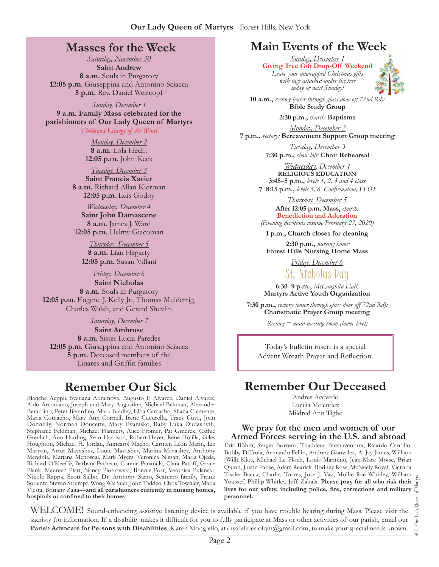## **Masses for the Week**

*Saturday, November 30* **Saint Andrew 8 a.m.** Souls in Purgatory **12:05 p.m***.* Giuseppina and Antonino Sciacca **5 p.m.** Rev. Daniel Weiscopf

*Sunday, December 1* **9 a.m. Family Mass celebrated for the parishioners of Our Lady Queen of Martyrs**

*Children's Liturgy of the Word* 

*Monday, December 2* **8 a.m.** Lola Hecht **12:05 p.m.** John Keck

*Tuesday, December 3* **Saint Francis Xavier 8 a.m.** Richard Allan Kierman **12:05 p.m***.* Luis Godoy

*Wednesday, December 4* **Saint John Damascene 8 a.m.** James J. Ward **12:05 p.m.** Helmy Giacoman

*Thursday, December 5* **8 a.m.** Lian Hegarty **12:05 p.m.** Susan Villani

*Friday, December 6* **Saint Nicholas 8 a.m.** Souls in Purgatory **12:05 p.m***.* Eugene J. Kelly Jr., Thomas Mulderrig, Charles Walsh, and Gerard Shevlin

*Saturday, December 7*

**Saint Ambrose 8 a.m.** Sister Lucia Paredes **12:05 p.m***.* Giuseppina and Antonino Sciacca **5 p.m.** Deceased members of the Linares and Griffin families

# **Remember Our Sick**

Blanche Aeppli, Svetlana Abramova, Augusto F. Alvarez, Daniel Alvarez, Aldo Arcomano, Joseph and Mary Augustine, Michael Bekman, Alexander Berardino, Peter Berardino, Mark Bradley, Elba Camacho, Shana Clemente, Maria Comacho, Mary Ann Cornell, Irene Cucurella, Tracy Cuva, Joan Donnelly, Norman Doucette, Mary Evanisko, Baby Luka Dudashvili, Stephanie Feldman, Michael Flannery, Alice Fromer, Pat Gmerek, Cathie Greulich, Ann Harding, Sean Harrison, Robert Heyer, René Hojilla, Giles Houghton, Michael H. Jordan, Anncarol Macho, Carmen Leon Marin, Liz Maryon, Artur Mavashev, Louie Mavashev, Marina Mavashev, Anthony Mendola, Mariana Menoscal, Mark Myers, Veronica Nissan, Maria Ojeda, Richard O'Keeffe, Barbara Pacheco, Connie Panaralla, Clara Patoff, Grace Plank, Maureen Piatt, Nancy Piotrowski, Bonnie Post, Veronica Pulanski, Nicole Rappa, Scott Salbo, Dr. Anthony Sarro, Scaturro family, Frank Soriente, Steven Strumpf, Wong Wai Suet, John Taddeo, Chris Townley, Maria Viesta, Brittany Zaita—**and all parishioners currently in nursing homes, hospitals or confined to their homes**

# **Main Events of the Week**

*Sunday, December 1* **Giving Tree Gift Drop-Off Weekend** *Leave your unwrapped Christmas gifts with tags attached under the tree today or next Sunday!*



**10 a.m.,** *rectory (enter through glass door off 72nd Rd):* **Bible Study Group**

**2:30 p.m.,** *church:* **Baptisms**

*Monday, December 2* **7 p.m.,** *rectory:* **Bereavement Support Group meeting**

> *Tuesday, December 3* **7:30 p.m.,** *choir loft:* **Choir Rehearsal**

*Wednesday, December 4* **RELIGIOUS EDUCATION 3:45**–**5 p.m.,** *levels 1, 2, 3 and 4 class* **7**–**8:15 p.m.,** *levels 5, 6, Confirmation, FFO  I*

*Thursday, December 5* **After 12:05 p.m. Mass,** *church:*  **Benediction and Adoration** *(Evening devotions resume February 27, 2020)*

**1 p.m., Church closes for cleaning**

**2:30 p.m.,** *nursing home:* **Forest Hills Nursing Home Mass**

> *Friday, December 6* St. Nicholas Day

**6:30**–**9 p.m.,** *McLaughlin Hall:* **Martyrs Active Youth Organization**

**7:30 p.m.,** *rectory (enter through glass door off 72nd Rd):* **Charismatic Prayer Group meeting**

*Rectory = main meeting room (lower level)*

Today's bulletin insert is a special Advent Wreath Prayer and Reflection.

# **Remember Our Deceased**

Andres Acevedo Lucilia Melendez Mildred Ann Tighe

#### **We pray for the men and women of our Armed Forces serving in the U.S. and abroad**

Eric Böhm, Sergio Borrero, Thaddeus Buenaventura, Ricardo Cantillo, Bobby DiTroia, Armando Fellin, Andrew Gonzalez, A. Jay James, William (Will) Klos, Michael Le Floch, Louis Mannino, Jean-Marc Moïse, Brian Quinn, Justin Pabse, Adam Rearick, Rodney Ross, McNeely Royal, Victoria Tissler-Bacca, Charles Torres, Jose J. Vaz, Mollie Rae Whitley, William Youssef, Phillip Whitley, Jeff Zabala. **Please pray for all who risk their lives for our safety, including police, fire, corrections and military personnel.**

WELCOME! Sound-enhancing assistive listening device is available if you have trouble hearing during Mass. Please visit the sacristy for information. If a disability makes it difficult for you to fully participate at Mass or other activities of our parish, email our **Parish Advocate for Persons with Disabilities**, Karen Mongiello, at disabilities.olqm@gmail.com, to make your special needs known.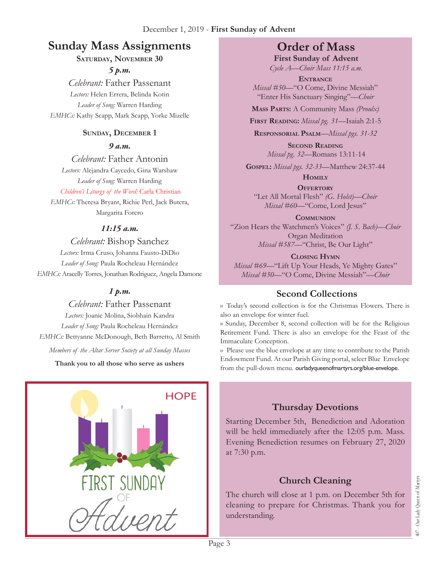# **Sunday Mass Assignments Order of Mass**

#### **Saturday, November 30**

*5 p.m.* 

*Celebrant:* Father Passenant *Lectors:* Helen Errera, Belinda Kotin *Leader of Song:* Warren Harding *EMHCs:* Kathy Scapp, Mark Scapp, Yorke Mizelle

### **Sunday, December 1**

*9 a.m.* 

*Celebrant:* Father Antonin *Lectors:* Alejandra Caycedo, Gina Warshaw *Leader of Song:* Warren Harding

*Children's Liturgy of the Word:* Carla Christian

*EMHCs:* Theresa Bryant, Richie Perl, Jack Butera, Margarita Forero

### *11:15 a.m.*

### *Celebrant:* Bishop Sanchez

*Lectors:* Irma Cruso, Johanna Fausto-DiDio *Leader of Song:* Paula Rocheleau Hernández *EMHCs:* Aracelly Torres, Jonathan Rodriguez, Angela Damone

### *1 p.m.*

### *Celebrant:* Father Passenant

*Lectors:* Joanie Molina, Siobhain Kandra *Leader of Song:* Paula Rocheleau Hernández *EMHCs:* Bettyanne McDonough, Beth Barretto, Al Smith

*Members of the Altar Server Society at all Sunday Masses*

**Thank you to all those who serve as ushers**



**First Sunday of Advent** *Cycle A—Choir Mass 11:15 a.m.*

**Entrance** *Missal #50—*"O Come, Divine Messiah" "Enter His Sanctuary Singing"*—Choir* 

**Mass Parts:** A Community Mass *(Proulx)*

**First Reading:** *Missal pg. 31—*Isaiah 2:1-5

**Responsorial Psalm**—*Missal pgs. 31-32*

**Second Reading** *Missal pg. 32—*Romans 13:11-14

**Gospel:** *Missal pgs. 32-33—*Matthew 24:37-44

**Homily**

**Offertory** "Let All Mortal Flesh" *(G. Holst)—Choir Missal #60—*"Come, Lord Jesus"

**Communion** "Zion Hears the Watchmen's Voices" *(J. S. Bach)—Choir* Organ Meditation *Missal #587—*"Christ, Be Our Light"

**Closing Hymn** *Missal #69*—"Lift Up Your Heads, Ye Mighty Gates" *Missal #50—*"O Come, Divine Messiah"—*Choir* 

# **Second Collections**

›› Today's second collection is for the Christmas Flowers. There is also an envelope for winter fuel.

›› Sunday, December 8, second collection will be for the Religious Retirement Fund. There is also an envelope for the Feast of the Immaculate Conception.

›› Please use the blue envelope at any time to contribute to the Parish Endowment Fund. At our Parish Giving portal, select Blue Envelope from the pull-down menu. ourladyqueenofmartyrs.org/blue-envelope.

# **Thursday Devotions**

Starting December 5th, Benediction and Adoration will be held immediately after the 12:05 p.m. Mass. Evening Benediction resumes on February 27, 2020 at 7:30 p.m.

# **Church Cleaning**

The church will close at 1 p.m. on December 5th for cleaning to prepare for Christmas. Thank you for understanding.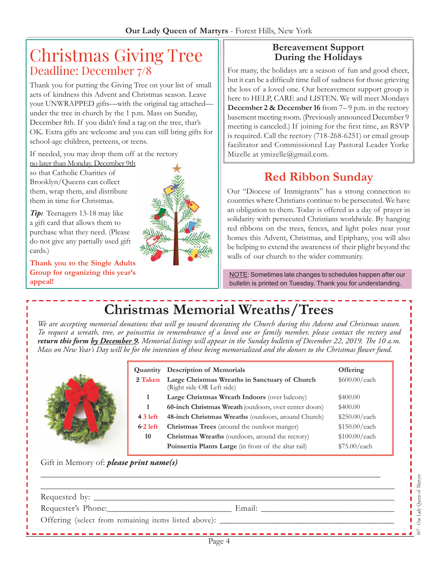# Christmas Giving Tree Deadline: December 7/8

Thank you for putting the Giving Tree on your list of small acts of kindness this Advent and Christmas season. Leave your UNWRAPPED gifts—with the original tag attached under the tree in church by the 1 p.m. Mass on Sunday, December 8th. If you didn't find a tag on the tree, that's OK. Extra gifts are welcome and you can still bring gifts for school-age children, preteens, or teens.

If needed, you may drop them off at the rectory

no later than Monday, December 9th so that Catholic Charities of Brooklyn/Queens can collect them, wrap them, and distribute them in time for Christmas.

*Tip:* Teenagers 13-18 may like a gift card that allows them to purchase what they need. (Please do not give any partially used gift cards.)

**Thank you to the Single Adults Group for organizing this year's appeal!**



#### **Bereavement Support During the Holidays**

For many, the holidays are a season of fun and good cheer, but it can be a difficult time full of sadness for those grieving the loss of a loved one. Our bereavement support group is here to HELP, CARE and LISTEN. We will meet Mondays **December 2 & December 16** from 7–9 p.m. in the rectory basement meeting room. (Previously announced December 9 meeting is canceled.) If joining for the first time, an RSVP is required. Call the rectory (718-268-6251) or email group facilitator and Commissioned Lay Pastoral Leader Yorke Mizelle at ymizelle@gmail.com.

# **Red Ribbon Sunday**

Our "Diocese of Immigrants" has a strong connection to countries where Christians continue to be persecuted. We have an obligation to them. Today is offered as a day of prayer in solidarity with persecuted Christians worldwide. By hanging red ribbons on the trees, fences, and light poles near your homes this Advent, Christmas, and Epiphany, you will also be helping to extend the awareness of their plight beyond the walls of our church to the wider community.

NOTE: Sometimes late changes to schedules happen after our bulletin is printed on Tuesday. Thank you for understanding.

# **Christmas Memorial Wreaths/Trees**

*We are accepting memorial donations that will go toward decorating the Church during this Advent and Christmas season. To request a wreath, tree, or poinsettia in remembrance of a loved one or family member, please contact the rectory and return this form by December 9. Memorial listings will appear in the Sunday bulletin of December 22, 2019. The 10 a.m. Mass on New Year's Day will be for the intention of those being memorialized and the donors to the Christmas flower fund.* 



Gift in Memory of: *please print name(s)* 

| Requester's Phone: | Email: |  |
|--------------------|--------|--|
|                    |        |  |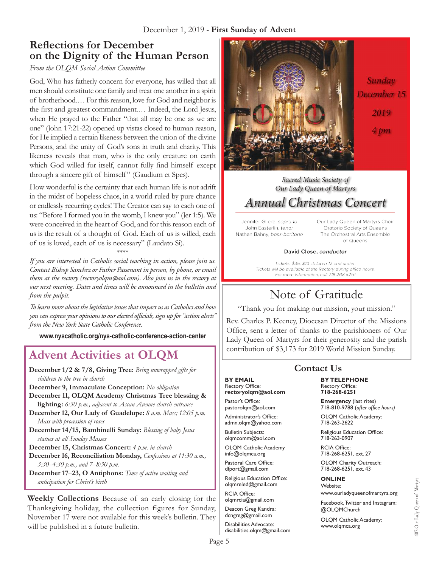## **Reflections for December on the Dignity of the Human Person**

#### *From the OLQM Social Action Committee*

God, Who has fatherly concern for everyone, has willed that all men should constitute one family and treat one another in a spirit of brotherhood.… For this reason, love for God and neighbor is the first and greatest commandment.… Indeed, the Lord Jesus, when He prayed to the Father "that all may be one as we are one" (John 17:21-22) opened up vistas closed to human reason, for He implied a certain likeness between the union of the divine Persons, and the unity of God's sons in truth and charity. This likeness reveals that man, who is the only creature on earth which God willed for itself, cannot fully find himself except through a sincere gift of himself " (Gaudium et Spes).

How wonderful is the certainty that each human life is not adrift in the midst of hopeless chaos, in a world ruled by pure chance or endlessly recurring cycles! The Creator can say to each one of us: "Before I formed you in the womb, I knew you" (Jer 1:5). We were conceived in the heart of God, and for this reason each of us is the result of a thought of God. Each of us is willed, each of us is loved, each of us is necessary" (Laudato Si).

\*\*\*\*

*If you are interested in Catholic social teaching in action, please join us. Contact Bishop Sanchez or Father Passenant in person, by phone, or email them at the rectory (rectoryolqm@aol.com). Also join us in the rectory at our next meeting. Dates and times will be announced in the bulletin and from the pulpit.*

*To learn more about the legislative issues that impact us as Catholics and how you can express your opinions to our elected officials, sign up for "action alerts" from the New York State Catholic Conference.*

**www.nyscatholic.org/nys-catholic-conference-action-center**

# **Advent Activities at OLOM** Contribution of \$3,173 for 2019 World Mission Sunday.

**December 1/2 & 7/8, Giving Tree:** *Bring unwrapped gifts for children to the tree in church*

**December 9, Immaculate Conception:** *No obligation*

**December 11, OLQM Academy Christmas Tree blessing & lighting:** *6:30 p.m., adjacent to Ascan Avenue church entrance*

- **December 12, Our Lady of Guadelupe:** *8 a.m. Mass; 12:05 p.m. Mass with procession of roses*
- **December 14/15, Bambinelli Sunday:** *Blessing of baby Jesus statues at all Sunday Masses*

**December 15, Christmas Concert:** *4 p.m. in church*

**December 16, Reconciliation Monday,** *Confessions at 11:30 a.m., 3:30–4:30 p.m., and 7–8:30 p.m.*

**December 17**–**23, O Antiphons:** *Time of active waiting and anticipation for Christ's birth*

**Weekly Collections** Because of an early closing for the Thanksgiving holiday, the collection figures for Sunday, November 17 were not available for this week's bulletin. They will be published in a future bulletin.



#### Sacred Music Society of Our Lady Queen of Martyrs

# **Annual Christmas Concert**

Jennifer Gliere, soprano John Easterlin, tenor Nathan Bahny, bass-baritone Our Lady Queen of Martyrs Choir Oratorio Society of Queens The Orchestral Arts Ensemble of Queens

#### David Close, conductor

Tickets: \$35; \$10 children 12 and under. Tickets will be available at the Rectory during office hours. For more information, call 718.268.6251

# Note of Gratitude

"Thank you for making our mission, your mission."

Rev. Charles P. Keeney, Diocesan Director of the Missions Office, sent a letter of thanks to the parishioners of Our Lady Queen of Martyrs for their generosity and the parish

### **Contact Us**

#### **BY EMAIL** Rectory Office: **rectoryolqm@aol.com**

Pastor's Office: pastorolqm@aol.com

Administrator's Office: admn.olqm@yahoo.com

Bulletin Subjects: olqmcomm@aol.com

OLQM Catholic Academy info@olqmca.org Pastoral Care Office:

dfport@gmail.com

Religious Education Office: olqmreled@gmail.com RCIA Office:

olqmrcia@gmail.com

Deacon Greg Kandra: dcngreg@gmail.com

Disabilities Advocate: disabilities.olqm@gmail.com

**BY TELEPHONE** Rectory Office: **718-268-6251**

**Emergency** (last rites) 718-810-9788 (*after office hours)*

OLQM Catholic Academy: 718-263-2622

Religious Education Office: 718-263-0907

RCIA Office: 718-268-6251, ext. 27

OLQM Charity Outreach: 718-268-6251, ext. 43

#### **ONLINE**

Website: www.ourladyqueenofmartyrs.org

Facebook, Twitter and Instagram: @OLQMChurch

OLQM Catholic Academy: www.olqmca.org